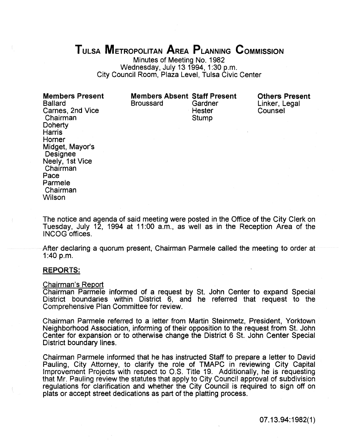# TULSA MeTROPOLITAN AREA PLANNING CoMMISSION

Minutes of Meeting No. 1982 Wednesday, July 13 1994, 1:30 p.m. City Council Room, Plaza Level, Tulsa Civic Center

Members Present Ballard Carnes, 2nd Vice Chairman **Doherty Harris** Horner Midget, Mayor's **Designee** Neely, 1st Vice Chairman Pace Parmele Chairman **Wilson** 

**Members Absent Staff Present**<br>Broussard Gardner **Broussard** 

Hester **Stump** 

Others Present Linker, Legal Counsel

The notice and agenda of said meeting were posted in the Office of the City Clerk on Tuesday, July 12, 1994 at 11:00 a.m., as well as in the Reception Area of the INCOG offices.

After declaring a quorum present, Chairman Parmele called the meeting to order at 1:40 p.m.

# REPORTS:

#### Chairman's Report

Chairman Parmele informed of a request by St. John Center to expand Special District boundaries within District 6, and he referred that request to the Comprehensive Plan Committee for review.

Chairman Parmele referred to a letter from Martin Steinmetz, President, Yorktown Neighborhood Association, informing of their opposition to the request from St. John Center for expansion or to otherwise change the District 6 St. John Center Special District boundary lines.

Chairman Parmele informed that he has instructed Staff to prepare a letter to David Pauling, City Attorney, to clarify the role of TMAPC in reviewing City Capital Improvement Projects with respect to O.S. Title 19. Additionally, he is requesting that Mr. Pauling review the statutes that apply to City Council approval of subdivision regulations for clarification and whether the City Council is required to sign off on plats or accept street dedications as part of the platting process.

07.13.94:1982(1)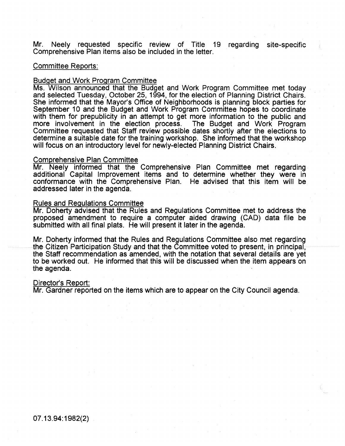Mr. Neely requested specific review of Title 19 regarding site-specific Comprehensive Plan items also be included in the letter.

# Committee Reports:

### Budget and Work Program Committee

Ms. Wilson announced that the Budget and Work Program Committee met today and selected Tuesday, October 25, 1994, for the election of Planning District Chairs. She informed that the Mayor's Office of Neighborhoods is planning block parties for September 10 and the Budget and Work Program Committee hopes to coordinate with them for prepublicity in an attempt to get more information to the public and more involvement in the election process. The Budget and Work Program Committee requested that Staff review possible dates shortly after the elections to determine a suitable date for the training workshop. She informed that the workshop will focus on an introductory level for newly-elected Planning District Chairs.

# Comprehensive Plan Committee

Mr. Neely informed that the Comprehensive Plan Committee met regarding additional Capital Improvement items and to determine whether they were in conformance with the Comprehensive Plan. He advised that this item will be addressed later in the agenda.

#### Rules and Regulations Committee

Mr. Doherty advised that the Rules and Regulations Committee met to address the proposed amendment to require a computer aided drawing (CAD) data file be submitted with all final plats. He will present it later in the agenda.

Mr. Doherty informed that the Rules and Regulations Committee also met regarding the Citizen Participation Study and that the Committee voted to present, in principal, the Staff recommendation as amended, with the notation that several details are yet to be worked out. He informed that this will be discussed when the item appears on the agenda.

### Director's Report:

Mr. Gardner reported on the items which are to appear on the City Council agenda.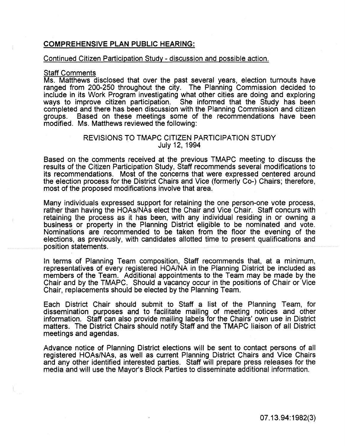# COMPREHENSIVE PLAN PUBLIC HEARING:

# Continued Citizen Participation Study - discussion and possible action.

# Staff Comments

Ms. Matthews disclosed that over the past several years, election turnouts have ranged from 200-250 throughout the city. The Planning Commission decided to include in its Work Program investigating what other cities are doing and exploring ways to improve citizen participation. She informed that the Study has been completed and there has been discussion with the Planning Commission and citizen groups. Based on these meetings some of the recommendations have been modified. Ms. Matthews reviewed the following:

# REVISIONS TO TMAPC CITIZEN PARTICIPATION STUDY July 12, 1994

Based on the comments received at the previous TMAPC meeting to discuss the results of the Citizen Participation Study, Staff recommends several modifications to its recommendations. Most of the concerns that were expressed centered around the election process for the District Chairs and Vice (formerly Co-) Chairs; therefore, most of the proposed modifications involve that area.

Many individuals expressed support for retaining the one person-one vote process, rather than having the HOAs/NAs elect the Chair and Vice Chair. Staff concurs with retaining the process as it has been, with any individuai residing in or owning a business or property in the Planning District eligible to be nominated and vote. Nominations are recommended to be taken from the floor the evening of the elections, as previously, with candidates allotted time to present qualifications and position statements.

In terms of Planning Team composition, Staff recommends that, at a minimum, representatives of every registered HOA/NA in the Pianning District be included as members of the Team. Additional appointments to the Team may be made by the Chair and by the TMAPC. Should a vacancy occur in the positions of Chair or Vice Chair, replacements should be elected by the Planning Team.

Each District Chair should submit to Staff a list of the Planning Team, for dissemination purposes and to facilitate mailing of meeting notices and other information. Staff can also provide mailing labels for the Chairs' own use in District matters. The District Chairs should notify Staff and the TMAPC liaison of all District meetings and agendas.

Advance notice of Planning District elections will be sent to contact persons of all registered HOAs/NAs, as well as current Planning District Chairs and Vice Chairs and any other identified interested parties. Staff will prepare press releases for the media and will use the Mayor's Block Parties to disseminate additional information.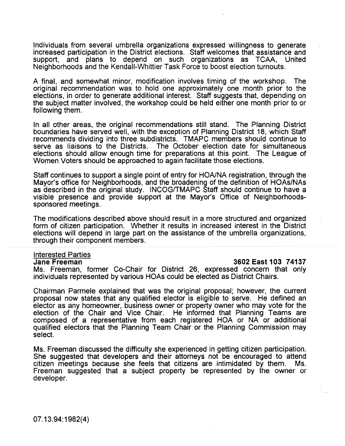Individuals from several umbrella organizations expressed willingness to generate increased participation in the District elections. Staff welcomes that assistance and support, and plans to depend on such organizations as TCAA, United Neighborhoods and the Kendall-Whittier Task Force to boost election turnouts.

A final, and somewhat minor, modification involves timing of the workshop. The original recommendation was to hold one approximately one month prior to the elections, in order to generate additional interest. Staff suggests that, depending on the subject matter involved, the workshop could be held either one month prior to or following them.

In all other areas, the original recommendations still stand. The Planning District boundaries have served well, with the exception of Planning District 18, which Staff recommends dividing into three subdistricts. TMAPC members should continue to serve as liaisons to the Districts. The October election date for simultaneous elections should allow enough time for preparations at this point. The League of Women Voters should be approached to again facilitate those elections.

Staff continues to support a single point of entry for HOA/NA registration, through the Mayor's office for Neighborhoods, and the broadening of the definition of HOAs/NAs as described in the original study. INCOG/TMAPC Staff should continue to have a visible presence and provide support at the Mayor's Office of Neighborhoodssponsored meetings.

The modifications described above should result in a more structured and organized form of citizen participation. Whether it results in increased interest in the District elections will depend in large part on the assistance of the umbrella organizations, through their component members.

# **Interested Parties**<br>Jane Freeman

# Jane Freeman 3602 East 103 74137

Ms. Freeman, former Co-Chair for District 26, expressed concern that only individuals represented by various HOAs could be elected as District Chairs.

Chairman Parmele explained that was the original proposal; however, the current proposal now states that any qualified elector is eligible to serve. He defined an elector as any homeowner, business owner or property owner who may vote for the election of the Chair and Vice Chair. He informed that Planning Teams are composed of a representative from each registered HOA or NA or additional qualified electors that the Planning Team Chair or the Planning Commission may select.

Ms. Freeman discussed the difficulty she experienced in getting citizen participation. She suggested that developers and their attorneys not be encouraged to attend citizen meetings because she feels that citizens are intimidated by them. Ms. Freeman suggested that a subject property be represented by the owner or developer.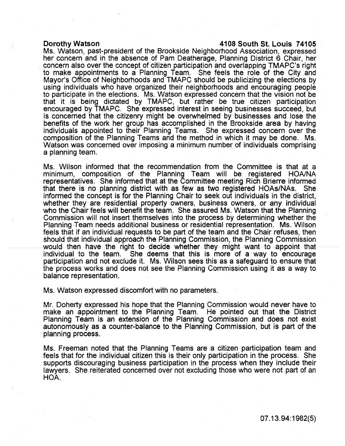# Dorothy Watson 4108 South St. Louis 74105

Ms. Watson, past-president of the Brookside Neighborhood Association, expressed her concern and in the absence of Pam Deatherage, Planning District 6 Chair, her concern also over the concept of citizen participation and overlapping TMAPC's right to make appointments to a Planning Team. She feels the role of the City and Mayor's Office of Neighborhoods and TMAPC should be publicizing the elections by using individuals who have organized their neighborhoods and encouraging people to participate in the elections. Ms. Watson expressed concern that the vision not be that it is being dictated by TMAPC, but rather be true citizen participation encouraged by TMAPC. She expressed interest in seeing businesses succeed, but is concerned that the citizenry might be overwhelmed by businesses and lose the benefits of the work her group has accomplished in the Brookside area by having individuals appointed to their Planning Teams. She expressed concern over the composition of the Planning Teams and the method in which it may be done. Ms. Watson was concerned over imposing a minimum number of individuals comprising a planning team.

Ms. Wilson informed that the recommendation from the Committee is that at a minimum, composition of the Planning Team will be registered HOA/NA representatives. She informed that at the Committee meeting Rich Brierre informed that there is no planning district with as few as two registered HOAs/NAs. She informed the concept is for the Planning Chair to seek out individuals in the district, whether they are residential property owners, business owners, or any individual who the Chair feels will benefit the team. She assured Ms. Watson that the Planning Commission wiii not insert themseives into the process by determining whether the Planning Team needs additional business or residential representation. Ms. Wilson feels that if an individual requests to be part of the team and the Chair refuses, then should that individual approach the Planning Commission, the Planning Commission would then have the right to decide whether they might want to appoint that individual to the team. She deems that this is more of a way to encourage participation and not exclude it. Ms. Wilson sees this as a safeguard to ensure that the process works and does not see the Pianning Commission using it as a way to balance representation.

Ms. Watson expressed discomfort with no parameters.

Mr. Doherty expressed his hope that the Planning Commission would never have to make an appointment to the Planning Team. He pointed out that the District Planning Team is an extension of the Planning Commission and does not exist autonomously as a counter-balance to the Planning Commission, but is part of the planning process.

Ms. Freeman noted that the Planning Teams are a citizen participation team and feels that for the individual citizen this is their only participation in the process. She supports discouraging business participation in the process when they include their lawyers. She reiterated concerned over not excluding those who were not part of an HOA.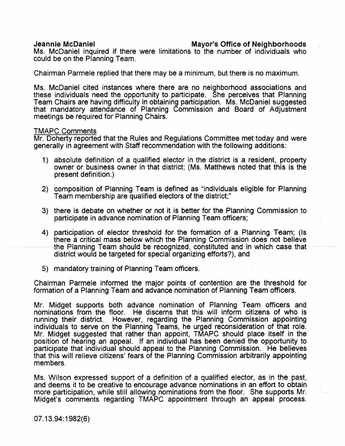# Jeannie McDaniel Mayor's Office of Neighborhoods

Ms. McDaniel inquired if there were limitations to the number of individuals who could be on the Planning Team.

Chairman Parmele replied that there may be a minimum, but there is no maximum.

Ms. McDaniel cited instances where there are no neiahborhood associations and these individuals need the opportunity to participate. She perceives that Planning Team Chairs are having difficulty in obtaining participation. Ms. McDaniel suggested that mandatory attendance of Planning Commission and Board of Adjustment meetings be required for Planning Chairs.

# TMAPC Comments

Mr. Doherty reported that the Rules and Regulations Committee met today and were generally in agreement with Staff recommendation with the following additions:

- 1) absolute definition of a qualified elector in the district is a resident, property owner or business owner in that district; (Ms. Matthews noted that this is the present definition.)
- 2) composition of Planning Team is defined as "individuals eligible for Planning Team membership are qualified electors of the district;"
- 3) there is debate on whether or not it is better for the Planning Commission to participate in advance nomination of Planning Team officers;
- 4) participation of elector threshold for the formation of a Planning Team; (Is there a critical mass below which the Planning Commission does not believe the Planning Team should be recognized, constituted and in which case that district would be targeted for special organizing efforts?), and
- 5) mandatory training of Pianning Team officers.

Chairman Parmele informed the major points of contention are the threshold for formation of a Planning Team and advance nomination of Planning Team officers.

Mr. Midget supports both advance nomination of Planning Team officers and nominations from the floor. He discerns that this will inform citizens of who is running their district. However, regarding the Planning Commission appointing individuals to serve on the Planning Teams, he urged reconsideration of that role. Mr. Midget suggested that rather than appoint, TMAPC should place itself in the position of hearing an appeal. If an individual has been denied the opportunity to participate that individual should appeal to the Planning Commission. He believes that this will relieve citizens' fears of the Planning Commission arbitrarily appointing members.

Ms. Wilson expressed support of a definition of a qualified elector, as in the past, and deems it to be creative to encourage advance nominations in an effort to obtain more participation, while still allowing nominations from the floor. She supports Mr. Midget's comments regarding TMAPC appointment through an appeal process.

07.13.94: 1982(6)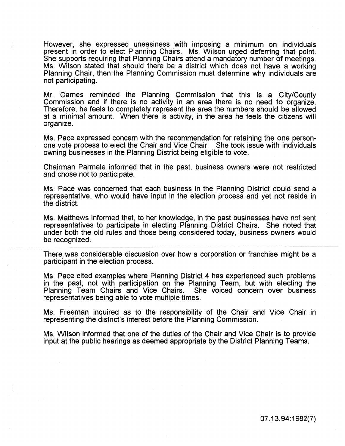However, she expressed uneasiness with imposing a minimum on individuals present in order to elect Planning Chairs. Ms. Wilson urged deferring that point. She supports requiring that Planning Chairs attend a mandatory number of meetings. Ms. Wilson stated that should there be a district which does not have a working Planning Chair, then the Planning Commission must determine why individuals are not participating.

Mr. Carnes reminded the Planning Commission that this is a City/County Commission and if there is no activity in an area there is no need to organize. Therefore, he feels to completely represent the area the numbers should be allowed at a minimal amount. When there is activity, in the area he feels the citizens will organize.

Ms. Pace expressed concern with the recommendation for retaining the one personone vote process to elect the Chair and Vice Chair. She took issue with individuals owning businesses in the Planning District being eligible to vote.

Chairman Parmele informed that in the past, business owners were not restricted and chose not to participate.

Ms. Pace was concerned that each business in the Planning District could send a representative, who would have input in the election process and yet not reside in the district.

Ms. Matthews informed that, to her knowledge, in the past businesses have not sent representatives to participate in electing Planning District Chairs. She noted that under both the old rules and those being considered today, business owners would be recognized.

There was considerable discussion over how a corporation or franchise might be a participant in the election process.

Ms. Pace cited examples where Planning District 4 has experienced such problems in the past, not with participation on the Planning Team, but with electing the Planning Team Chairs and Vice Chairs. She voiced concern over business representatives being able to vote multiple times.

Ms. Freeman inquired as to the responsibility of the Chair and Vice Chair in representing the district's interest before the Planning Commission.

Ms. Wilson informed that one of the duties of the Chair and Vice Chair is to provide input at the public hearings as deemed appropriate by the District Planning Teams.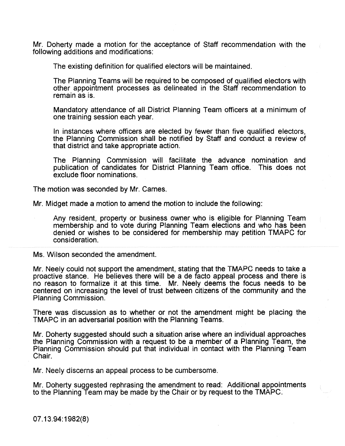Mr. Doherty made a motion for the acceptance of Staff recommendation with the following additions and modifications:

The existing definition for qualified electors will be maintained.

The Planning Teams will be required to be composed of qualified electors with other appointment processes as delineated in the Staff recommendation to remain as is.

Mandatory attendance of all District Planning Team officers at a minimum of one training session each year.

In instances where officers are elected by fewer than five qualified electors, the Planning Commission shall be notified by Staff and conduct a review of that district and take appropriate action.

The Planning Commission will facilitate the advance nomination and publication of candidates for District Planning Team office. This does not exclude floor nominations.

The motion was seconded by Mr. Carnes.

Mr. Midget made a motion to amend the motion to include the following:

Any resident, property or business owner who is eligible for Planning Team membership and to vote during Planning Team elections and who has been denied or wishes to be considered for membership may petition TMAPC for consideration.

Ms. Wilson seconded the amendment.

Mr. Neeiy couid not support the amendment, stating that the TMAPC needs to take a proactive stance. He believes there will be a de facto appeal process and there is no reason to formalize it at this time. Mr. Neely deems the focus needs to be centered on increasing the level of trust between citizens of the community and the Planning Commission.

There was discussion as to whether or not the amendment might be placing the TMAPC in an adversarial position with the Planning Teams.

Mr. Doherty suggested should such a situation arise where an individual approaches the Planning Commission with a request to be a member of a Planning Team, the Planning Commission should put that individual in contact with the Planning Team Chair.

Mr. Neely discerns an appeal process to be cumbersome.

Mr. Doherty suggested rephrasing the amendment to read: Additional appointments to the Planning Team may be made by the Chair or by request to the TMAPC.

07.13.94: 1982(8)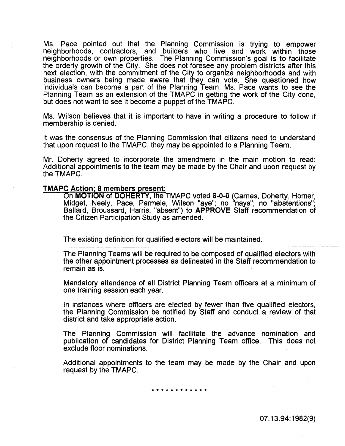Ms. Pace pointed out that the Planning Commission is trying to empower neighborhoods, contractors, and builders who live and work within those neighborhoods or own properties. The Planning Commission's goal is to facilitate the orderly growth of the City. She does not foresee any problem districts after this next election, with the commitment of the City to organize neighborhoods and with business owners being made aware that they can vote. She questioned how individuals can become a part of the Planning Team. Ms. Pace wants to see the Planning Team as an extension of the TMAPC in getting the work of the City done, but does not want to see it become a puppet of the TMAPC.

Ms. Wilson believes that it is important to have in writing a procedure to follow if membership is denied.

It was the consensus of the Planning Commission that citizens need to understand that upon request to the TMAPC, they may be appointed to a Planning Team.

Mr. Doherty agreed to incorporate the amendment in the main motion to read: Additional appointments to the team may be made by the Chair and upon request by the TMAPC.

# TMAPC Action: 8 members present:

On MOTION of DOHERTY, the TMAPC voted 8-0-0 (Carnes, Doherty, Horner, Midget, Neely, Pace, Pannele, Wilson "aye"; no "nays"; no "abstentions"; Ballard, Broussard, Harris, "absent") to APPROVE Staff recommendation of the Citizen Participation Study as amended.

The existing definition for qualified electors will be maintained.

The Planning Teams will be required to be composed of qualified electors with the other appointment processes as delineated in the Staff recommendation to remain as is.

Mandatory attendance of all District Planning Team officers at a minimum of one training session each year.

In instances where officers are elected by fewer than five qualified electors, the Planning Commission be notified by Staff and conduct a review of that district and take appropriate action.

The Planning Commission will facilitate the advance nomination and publication of candidates for District Planning Team office. This does not exclude floor nominations.

Additional appointments to the team may be made by the Chair and upon request by the TMAPC.

\*\*\*\*\*\*\*\*\*\*\*\*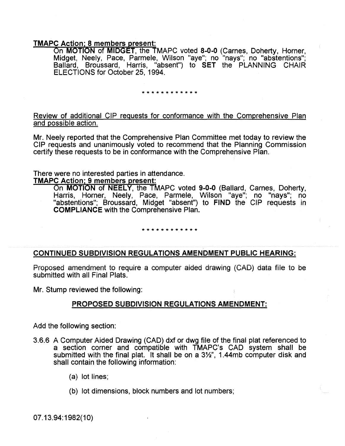# TMAPC Action; 8 members present:

On **MOTION** of **MIDGET**, the TMAPC voted 8-0-0 (Carnes, Doherty, Horner, Midget, Neely, Pace, Parmele, Wilson "aye"; no "nays"; no "abstentions"; Ballard, Broussard, Harris, "absent") to SET the PLANNING CHAIR ELECTIONS for October 25, 1994.

\* \* \* \* \* \* \* \* \* \* \* \*

Review of additional CIP requests for conformance with the Comprehensive Plan and possible action.

Mr. Neely reported that the Comprehensive Plan Committee met today to review the CIP requests and unanimously voted to recommend that the Planning Commission certify these requests to be in conformance with the Comprehensive Plan.

There were no interested parties in attendance.

# TMAPC Action: 9 members present:

On MOTION of NEELY, the TMAPC voted 9-0-0 (Ballard, Carnes, Doherty, Harris, Horner, Neely, Pace, Parmele, Wilson "aye"; no "nays"; no "abstentions"; Broussard, Midget "absent") to FIND the CIP requests in COMPLIANCE with the Comprehensive Plan.

### \*\*\*\*\*\*\*\*\*\*\*\*

# CONTINUED SUBDIVISION REGULATIONS AMENDMENT PUBLIC HEARING:

Proposed amendment to require a computer aided drawing (CAD) data flie to be submitted with all Final Plats.

Mr. Stump reviewed the following:

# PROPOSED SUBDIVISION REGULATIONS AMENDMENT:

Add the following section:

- 3.6.6 A Computer Aided Drawing (CAD) dxf or dwg file of the final plat referenced to a section corner and compatible with TMAPC's CAD system shall be submitted with the final plat. It shall be on a  $3\frac{1}{2}$ , 1.44mb computer disk and shall contain the following information:
	- (a) lot lines;
	- (b) lot dimensions, block numbers and lot numbers;

07.13.94:1982(10)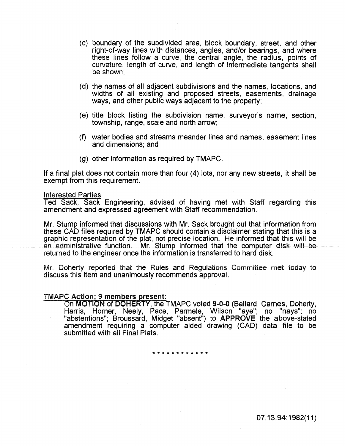- (c) boundary of the subdivided area, block boundary, street, and other right-of-way lines with distances, angles, and/or bearings, and where these lines follow a curve, the central angle, the radius, points of curvature, length of curve, and length of intermediate tangents shall be shown;
- (d) the names of all adjacent subdivisions and the names, locations, and widths of all existing and proposed streets, easements, drainage ways, and other public ways adjacent to the property;
- (e) title block listing the subdivision name, surveyor's name, section, township, range, scale and north arrow;
- (f) water bodies and streams meander lines and names, easement lines and dimensions; and
- (g) other information as required by TMAPC.

If a final plat does not contain more than four (4) lots, nor any new streets, it shall be exempt from this requirement.

### Interested Parties

Ted Sack, Sack Engineering, advised of having met with Staff regarding this amendment and expressed agreement with Staff recommendation.

Mr. Stump informed that discussions with Mr. Sack brought out that information from these CAD files required by TMAPC should contain a disclaimer stating that this is a graphic representation of the plat, not precise location. He informed that this will be an administrative function. Mr. Stump informed that the computer disk will be returned to the engineer once the information is transferred to hard disk.

Mr. Doherty reported that the Ruies and Regulations Committee met today to discuss this item and unanimously recommends approval.

# **TMAPC Action; 9 members present:**

On MOTION of DOHERTY, the TMAPC voted 9-0-0 (Ballard, Carnes, Doherty, Harris, Horner, Neely, Pace, Parmele, Wilson "aye"; no "nays"; no "abstentions"; Broussard, Midget "absent") to APPROVE the above-stated amendment requiring a computer aided drawing (CAD) data file to be submitted with all Final Plats.

\*\*\*\*\*\*\*\*\*\*\*\*

07.13.94: 1982(11)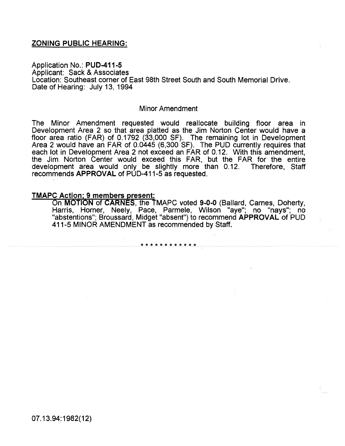# ZONING PUBLIC HEARING:

Application No.: PUD-411-5 Applicant: Sack & Associates Location: Southeast corner of East 98th Street South and South Memorial Drive. Date of Hearing: July 13, 1994

#### Minor Amendment

The Minor Amendment requested would reallocate building floor area in Development Area 2 so that area platted as the Jim Norton Center would have a floor area ratio (FAR) of 0.1792 (33,000 SF). The remaining lot in Development Area 2 would have an FAR of 0.0445 (6,300 SF). The PUD currently requires that each lot in Development Area 2 not exceed an FAR of 0.12. With this amendment, the Jim Norton Center would exceed this FAR, but the FAR for the entire development area would only be slightly more than 0.12. Therefore, Staff recommends APPROVAL of PUD-411-5 as requested.

# TMAPC Action; 9 members present:

On MOTION of CARNES, the TMAPC voted 9-0-0 (Ballard, Carnes, Doherty, Harris, Horner, Neely, Pace, Parmele, Wilson "aye"; no "nays"; no "abstentions"; Broussard, Midget "absent") to recommend APPROVAL of PUD 411-5 MINOR AMENDMENT as recommended by Staff.

\*\*\*\*\*\*\*\*\*\*\*\*

07.13.94:1982(12)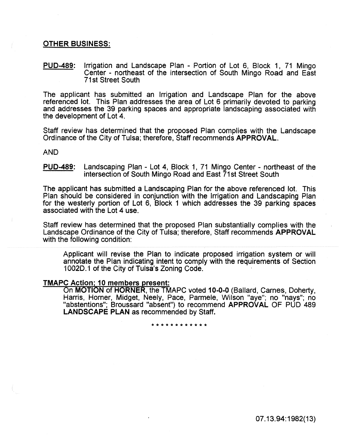# OTHER BUSINESS:

PUD-489: Irrigation and Landscape Plan - Portion of Lot 6, Block 1, 71 Mingo Center - northeast of the intersection of South Mingo Road and East 71st Street South

The applicant has submitted an Irrigation and Landscape Plan for the above referenced lot. This Plan addresses the area of Lot 6 primarily devoted to parking and addresses the 39 parking spaces and appropriate landscaping associated with the development of Lot 4.

Staff review has determined that the proposed Pian complies with the Landscape Ordinance of the City of Tulsa; therefore, Staff recommends APPROVAL.

AND

PUD-489: Landscaping Plan- Lot 4, Block 1, 71 Mingo Center- northeast of the intersection of South Mingo Road and East 71st Street South

The applicant has submitted a Landscaping Plan for the above referenced lot. This Plan should be considered in conjunction with the Irrigation and Landscaping Pian for the westerly portion of Lot 6, Block 1 which addresses the 39 parking spaces associated with the Lot 4 use.

Staff review has determined that the proposed Plan substantially complies with the Landscape Ordinance of the City of Tulsa; therefore, Staff recommends APPROVAL with the following condition:

Applicant will revise the Plan to indicate proposed irrigation system or will annotate the Plan indicating intent to compiy with the requirements of Section 1002D.1 of the City of Tulsa's Zoning Code.

### TMAPC Action; 10 members present:

On MOTION of HORNER, the TMAPC voted 10-0-0 (Ballard, Carnes, Doherty, Harris, Horner, Midget, Neely, Pace, Parmele, Wilson "aye"; no "nays"; no "abstentions"; Broussard "absent") to recommend APPROVAL OF PUD 489 LANDSCAPE PLAN as recommended by Staff.

\*\*\*\*\*\*\*\*\*\*\*\*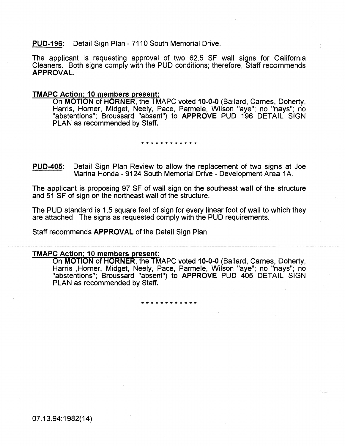# PUD-196: Detail Sign Plan- 7110 South Memorial Drive.

The applicant is requesting approval of two 62.5 SF wall signs for California Cleaners. Both signs comply with the PUD conditions; therefore, Staff recommends APPROVAL.

# TMAPC Action; 10 members present:

On MOTION of HORNER, the TMAPC voted 10-0-0 (Ballard, Carnes, Doherty, Harris, Horner, Midget, Neely, Pace, Parmele, Wilson "aye"; no "nays"; no "abstentions"; Broussard "absent") to APPROVE PUD 196 DETAIL SIGN PLAN as recommended by Staff.

#### \* \* \* \* \* \* \* \* \* \* \* \*

PUD-405: Detail Sign Plan Review to allow the replacement of two signs at Joe Marina Honda - 9124 South Memorial Drive - Development Area 1A.

The applicant is proposing 97 SF of wall sign on the southeast wall of the structure and 51 SF of sign on the northeast wail of the structure.

The PUD standard is 1.5 square feet of sign for every linear foot of wall to which they are attached. The signs as requested comply with the PUD requirements.

Staff recommends APPROVAL of the Detail Sign Plan.

# TMAPC Action: 10 members present:

On MOTION of HORNER, the TMAPC voted 10-0-0 (Ballard, Carnes, Doherty, Harris ,Horner, Midget, Neely, Pace, Parmele, Wilson "aye"; no "nays"; no "abstentions"; Broussard "absent") to APPROVE PUD 405 DETAIL SIGN PLAN as recommended by Staff.

\*\*\*\*\*\*\*\*\*\*\*\*

07.13.94:1982(14)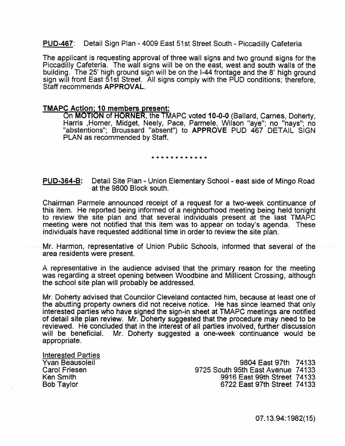# PUD-467: Detail Sign Plan- 4009 East 51st Street South- Piccadilly Cafeteria

The applicant is requesting approval of three wall signs and two ground signs for the Piccadilly Cafeteria. The wall signs will be on the east, west and south walls of the building. The 25' high ground sign will be on the 1-44 frontage and the 8' high ground sign will front East 51st Street. All signs comply with the PUD conditions; therefore, Staff recommends APPROVAL.

# TMAPC Action; 10 members present:

On MOTION of HORNER, the TMAPC voted 10-0-0 (Ballard, Carnes, Doherty, Harris ,Horner, Midget, Neely, Pace, Parmele, Wilson "aye"; no "nays"; no "abstentions"; Broussard "absent") to APPROVE PUD 467 DETAIL SIGN PLAN as recommended by Staff.

#### \* \* \* \* \* \* \* \* \* \* \* \*

PU0-364-B: Detail Site Plan - Union Elementary School - east side of Mingo Road at the 9800 Block south.

Chairman Parmele announced receipt of a request for a two-week continuance of this item. He reported being informed of a neighborhood meeting being held tonight to review the site pian and that several individuals present at the last TMAPC meeting were not notified that this item was to appear on today's agenda. These individuals have requested additional time in order to review the site plan.

Mr. Harmon, representative of Union· Public Schools, informed that several of the area residents were present.

A representative in the audience advised that the primary reason for the meeting was regarding a street opening between Woodbine and Millicent Crossing, although the school site plan will probably be addressed.

Mr. Doherty advised that Counciior Cieveiand contacted him, because at least one of the abutting property owners did not receive notice. He has since learned that only interested parties who have signed the sign-in sheet at TMAPC meetings are notified of detail site plan review. Mr. Doherty suggested that the procedure may need to be reviewed. He concluded that in the interest of all parties involved, further discussion Mr. Doherty suggested a one-week continuance would be appropriate.

Interested Parties Yvan Beausoleil Carol Friesen Ken Smith Bob Taylor

9804 East 97th 74133 9725 South 95th East Avenue 74133 9916 East 99th Street 74133 6722 East 97th Street 7 4133

07.13.94:1982(15)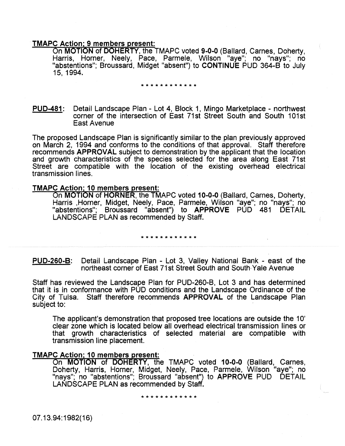# TMAPC Action: 9 members present:

On MOTION of DOHERTY, the TMAPC voted 9-0-0 (Ballard, Carnes, Doherty, Harris, Horner, Neely, Pace, Parmele, Wilson "aye"; no "nays"; no "abstentions"; Broussard, Midget "absent") to CONTINUE PUD 364-B to July 15, 1994.

#### \* \* \* \* \* \* \* \* \* \* \*

PUD-481: Detail Landscape Plan - Lot 4, Block 1, Mingo Marketplace - northwest corner of the intersection of East 71st Street South and South 101st East Avenue

The proposed Landscape Plan is significantly similar to the plan previously approved on March 2, 1994 and conforms to the conditions of that approval. Staff therefore recommends APPROVAL subject to demonstration by the applicant that the location and growth characteristics of the species selected for the area along East 71st Street are compatible with the location of the existing overhead electrical transmission lines.

# TMAPC Action; 10 members present:

On MOTION of HORNER, the TMAPC voted 10-0-0 (Ballard, Carnes, Doherty, Harris , Horner, Midget, Neely, Pace, Parmele, Wilson "aye"; no "nays"; no "abstentions"; Broussard "absent") to APPROVE PUD 481 DETAIL LANDSCAPE PLAN as recommended by Staff.

#### \* \* \* \* \* \* \* \* \* \* \* \*

PUD-260-8: Detail Landscape Pian - Lot 3, Valley National Bank - east of the northeast corner of East 71st Street South and South·Yaie Avenue

Staff has reviewed the Landscape Plan for PUD-260-B, Lot 3 and has determined that it is in conformance with PUD conditions and the Landscape Ordinance of the City of Tulsa. Staff therefore recommends APPROVAL of the Landscape Plan subject to:

The applicant's demonstration that proposed tree locations are outside the 10' clear zone which is located below all overhead electrical transmission lines or that growth characteristics of selected material are compatible with transmission line placement.

# TMAPC Action; 10 members present:

On MOTION of DOHERTY, the TMAPC voted 10-0-0 (Ballard, Carnes, Doherty, Harris, Horner, Midget, Neely, Pace, Parmele, Wilson "aye"; no "nays"; no "abstentions"; Broussard "absent") to APPROVE PUD DETAIL<br>LANDSCAPE PLAN as recommended by Staff.

#### \* \* \* \* \* \* \* \* \* \* \*

07.13.94: 1982(16)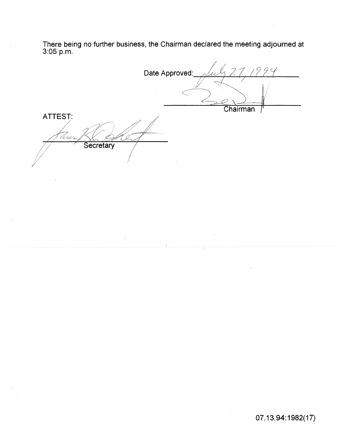There being no further business, the Chairman declared the meeting adjourned at 3:05p.m.

Date Approved: 1 p Chairman ATTEST: fyydd<br>EUS Secretary

07.13.94:1982(17)